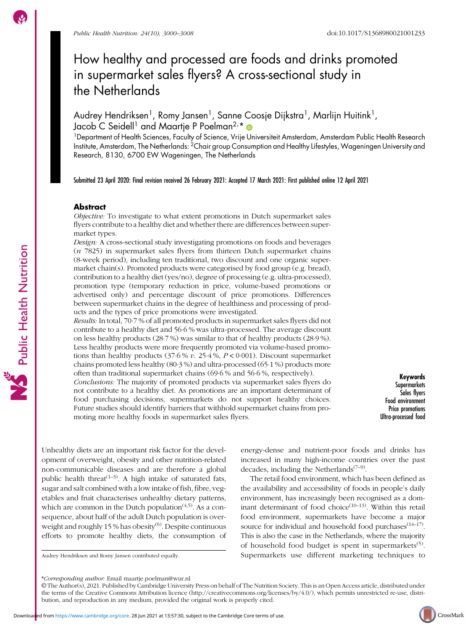Public Health Nutrition

# How healthy and processed are foods and drinks promoted in supermarket sales flyers? A cross-sectional study in the Netherlands

Audrey Hendriksen<sup>1</sup>, Romy Jansen<sup>1</sup>, Sanne Coosje Dijkstra<sup>1</sup>, Marlijn Huitink<sup>1</sup>, Jacob C Seidell<sup>1</sup> and Maartje P Poelman<sup>2,</sup>\*

<sup>1</sup>Department of Health Sciences, Faculty of Science, Vrije Universiteit Amsterdam, Amsterdam Public Health Research Institute, Amsterdam, The Netherlands: 2Chair group Consumption and Healthy Lifestyles, Wageningen University and Research, 8130, 6700 EW Wageningen, The Netherlands

Submitted 23 April 2020: Final revision received 26 February 2021: Accepted 17 March 2021: First published online 12 April 2021

### Abstract

Objective: To investigate to what extent promotions in Dutch supermarket sales flyers contribute to a healthy diet and whether there are differences between supermarket types.

Design: A cross-sectional study investigating promotions on foods and beverages  $(n 7825)$  in supermarket sales flyers from thirteen Dutch supermarket chains (8-week period), including ten traditional, two discount and one organic supermarket chain(s). Promoted products were categorised by food group (e.g. bread), contribution to a healthy diet (yes/no), degree of processing (e.g. ultra-processed), promotion type (temporary reduction in price, volume-based promotions or advertised only) and percentage discount of price promotions. Differences between supermarket chains in the degree of healthiness and processing of products and the types of price promotions were investigated.

Results: In total, 70·7 % of all promoted products in supermarket sales flyers did not contribute to a healthy diet and 56·6 % was ultra-processed. The average discount on less healthy products (28·7 %) was similar to that of healthy products (28·9 %). Less healthy products were more frequently promoted via volume-based promotions than healthy products  $(37.6\% v. 25.4\%, P < 0.001)$ . Discount supermarket chains promoted less healthy (80·3 %) and ultra-processed (65·1 %) products more often than traditional supermarket chains (69·6 % and 56·6 %, respectively).

Conclusions: The majority of promoted products via supermarket sales flyers do not contribute to a healthy diet. As promotions are an important determinant of food purchasing decisions, supermarkets do not support healthy choices. Future studies should identify barriers that withhold supermarket chains from promoting more healthy foods in supermarket sales flyers.

Keywords **Supermarkets** Sales flyers Food environment Price promotions Ultra-processed food

Unhealthy diets are an important risk factor for the development of overweight, obesity and other nutrition-related non-communicable diseases and are therefore a global public health threat<sup> $(1-3)$  $(1-3)$  $(1-3)$  $(1-3)$ </sup>. A high intake of saturated fats, sugar and salt combined with a low intake of fish, fibre, vegetables and fruit characterises unhealthy dietary patterns, which are common in the Dutch population<sup> $(4,5)$  $(4,5)$  $(4,5)$  $(4,5)$  $(4,5)$ </sup>. As a consequence, about half of the adult Dutch population is over-weight and roughly 15 % has obesity<sup>([6](#page-7-0))</sup>. Despite continuous efforts to promote healthy diets, the consumption of

Downloaded from [https://www.cambridge.org/core.](https://www.cambridge.org/core) 28 Jun 2021 at 13:57:30, subject to the Cambridge Core terms of use.

energy-dense and nutrient-poor foods and drinks has increased in many high-income countries over the past decades, including the Netherlands $(7-9)$  $(7-9)$  $(7-9)$  $(7-9)$ .

The retail food environment, which has been defined as the availability and accessibility of foods in people's daily environment, has increasingly been recognised as a dominant determinant of food choice $(10-13)$  $(10-13)$  $(10-13)$ . Within this retail food environment, supermarkets have become a major source for individual and household food purchases<sup>([14](#page-7-0)-[17\)](#page-7-0)</sup>. This is also the case in the Netherlands, where the majority of household food budget is spent in supermarkets<sup>[\(5\)](#page-7-0)</sup>. Audrey Hendriksen and Romy Jansen contributed equally. Supermarkets use different marketing techniques to

<sup>\*</sup>Corresponding author: Email maartje.poelman@wur.nl

<sup>©</sup> The Author(s), 2021. Published by Cambridge University Press on behalf of The Nutrition Society. This is an Open Access article, distributed under the terms of the Creative Commons Attribution licence (<http://creativecommons.org/licenses/by/4.0/>), which permits unrestricted re-use, distribution, and reproduction in any medium, provided the original work is properly cited.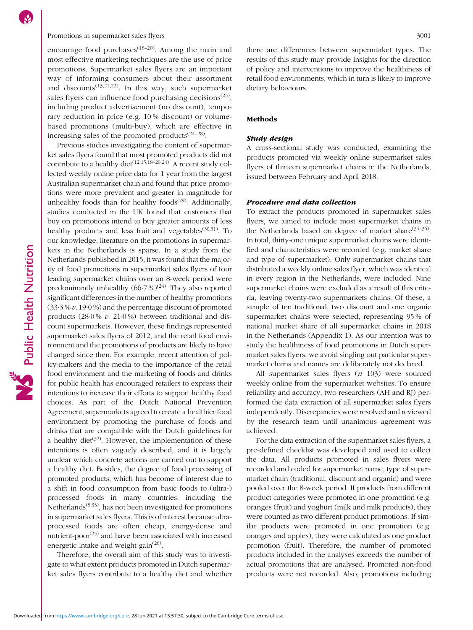# Promotions in supermarket sales flyers 3001

encourage food purchases $(18-20)$  $(18-20)$  $(18-20)$  $(18-20)$  $(18-20)$ . Among the main and most effective marketing techniques are the use of price promotions. Supermarket sales flyers are an important way of informing consumers about their assortment and discounts<sup> $(13,21,22)$  $(13,21,22)$  $(13,21,22)$  $(13,21,22)$ </sup>. In this way, such supermarket sales flyers can influence food purchasing decisions<sup> $(23)$  $(23)$ </sup>, including product advertisement (no discount), temporary reduction in price (e.g. 10 % discount) or volumebased promotions (multi-buy), which are effective in increasing sales of the promoted products $(24-28)$  $(24-28)$  $(24-28)$ .

Previous studies investigating the content of supermarket sales flyers found that most promoted products did not contribute to a healthy diet<sup> $(12,15,18-20,24)$  $(12,15,18-20,24)$  $(12,15,18-20,24)$  $(12,15,18-20,24)$  $(12,15,18-20,24)$  $(12,15,18-20,24)$  $(12,15,18-20,24)$ </sup>. A recent study collected weekly online price data for 1 year from the largest Australian supermarket chain and found that price promotions were more prevalent and greater in magnitude for unhealthy foods than for healthy foods<sup> $(29)$  $(29)$  $(29)$ </sup>. Additionally, studies conducted in the UK found that customers that buy on promotions intend to buy greater amounts of less healthy products and less fruit and vegetables<sup> $(30,31)$  $(30,31)$ </sup>. To our knowledge, literature on the promotions in supermarkets in the Netherlands is sparse. In a study from the Netherlands published in 2015, it was found that the majority of food promotions in supermarket sales flyers of four leading supermarket chains over an 8-week period were predominantly unhealthy  $(66.7\%)^{(24)}$  $(66.7\%)^{(24)}$  $(66.7\%)^{(24)}$ . They also reported significant differences in the number of healthy promotions (33·3 % v. 19·0 %) and the percentage discount of promoted products  $(28.0\% v. 21.0\%)$  between traditional and discount supermarkets. However, these findings represented supermarket sales flyers of 2012, and the retail food environment and the promotions of products are likely to have changed since then. For example, recent attention of policy-makers and the media to the importance of the retail food environment and the marketing of foods and drinks for public health has encouraged retailers to express their intentions to increase their efforts to support healthy food choices. As part of the Dutch National Prevention Agreement, supermarkets agreed to create a healthier food environment by promoting the purchase of foods and drinks that are compatible with the Dutch guidelines for a healthy diet<sup> $(32)$ </sup>. However, the implementation of these intentions is often vaguely described, and it is largely unclear which concrete actions are carried out to support a healthy diet. Besides, the degree of food processing of promoted products, which has become of interest due to a shift in food consumption from basic foods to (ultra-) processed foods in many countries, including the Netherlands[\(8](#page-7-0)[,33](#page-8-0)), has not been investigated for promotions in supermarket sales flyers. This is of interest because ultraprocessed foods are often cheap, energy-dense and nutrient-poor<sup>[\(25](#page-7-0))</sup> and have been associated with increased energetic intake and weight gain $^{(26)}$  $^{(26)}$  $^{(26)}$ .

Therefore, the overall aim of this study was to investigate to what extent products promoted in Dutch supermarket sales flyers contribute to a healthy diet and whether there are differences between supermarket types. The results of this study may provide insights for the direction of policy and interventions to improve the healthiness of retail food environments, which in turn is likely to improve dietary behaviours.

### Methods

#### Study design

A cross-sectional study was conducted, examining the products promoted via weekly online supermarket sales flyers of thirteen supermarket chains in the Netherlands, issued between February and April 2018.

### Procedure and data collection

To extract the products promoted in supermarket sales flyers, we aimed to include most supermarket chains in the Netherlands based on degree of market share $(34-36)$  $(34-36)$  $(34-36)$  $(34-36)$  $(34-36)$ . In total, thirty-one unique supermarket chains were identified and characteristics were recorded (e.g. market share and type of supermarket). Only supermarket chains that distributed a weekly online sales flyer, which was identical in every region in the Netherlands, were included. Nine supermarket chains were excluded as a result of this criteria, leaving twenty-two supermarkets chains. Of these, a sample of ten traditional, two discount and one organic supermarket chains were selected, representing 95 % of national market share of all supermarket chains in 2018 in the Netherlands (Appendix [1\)](https://doi.org/10.1017/S1368980021001233). As our intention was to study the healthiness of food promotions in Dutch supermarket sales flyers, we avoid singling out particular supermarket chains and names are deliberately not declared.

All supermarket sales flyers (n 103) were sourced weekly online from the supermarket websites. To ensure reliability and accuracy, two researchers (AH and RJ) performed the data extraction of all supermarket sales flyers independently. Discrepancies were resolved and reviewed by the research team until unanimous agreement was achieved.

For the data extraction of the supermarket sales flyers, a pre-defined checklist was developed and used to collect the data. All products promoted in sales flyers were recorded and coded for supermarket name, type of supermarket chain (traditional, discount and organic) and were pooled over the 8-week period. If products from different product categories were promoted in one promotion (e.g. oranges (fruit) and yoghurt (milk and milk products), they were counted as two different product promotions. If similar products were promoted in one promotion (e.g. oranges and apples), they were calculated as one product promotion (fruit). Therefore, the number of promoted products included in the analyses exceeds the number of actual promotions that are analysed. Promoted non-food products were not recorded. Also, promotions including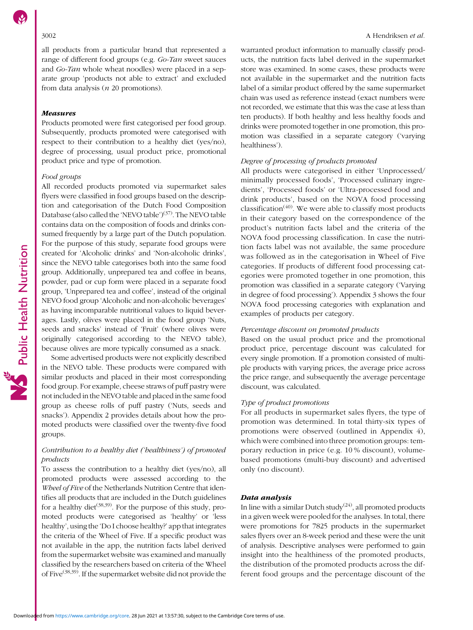all products from a particular brand that represented a range of different food groups (e.g. Go-Tan sweet sauces and Go-Tan whole wheat noodles) were placed in a separate group 'products not able to extract' and excluded from data analysis ( $n$  20 promotions).

#### Measures

Products promoted were first categorised per food group. Subsequently, products promoted were categorised with respect to their contribution to a healthy diet (yes/no), degree of processing, usual product price, promotional product price and type of promotion.

# Food groups

All recorded products promoted via supermarket sales flyers were classified in food groups based on the description and categorisation of the Dutch Food Composition Database (also called the 'NEVO table')<sup>[\(37\)](#page-8-0)</sup>. The NEVO table contains data on the composition of foods and drinks consumed frequently by a large part of the Dutch population. For the purpose of this study, separate food groups were created for 'Alcoholic drinks' and 'Non-alcoholic drinks', since the NEVO table categorises both into the same food group. Additionally, unprepared tea and coffee in beans, powder, pad or cup form were placed in a separate food group, 'Unprepared tea and coffee', instead of the original NEVO food group 'Alcoholic and non-alcoholic beverages' as having incomparable nutritional values to liquid beverages. Lastly, olives were placed in the food group 'Nuts, seeds and snacks' instead of 'Fruit' (where olives were originally categorised according to the NEVO table), because olives are more typically consumed as a snack.

Some advertised products were not explicitly described in the NEVO table. These products were compared with similar products and placed in their most corresponding food group. For example, cheese straws of puff pastry were not included in the NEVO table and placed in the same food group as cheese rolls of puff pastry ('Nuts, seeds and snacks'). Appendix [2](https://doi.org/10.1017/S1368980021001233) provides details about how the promoted products were classified over the twenty-five food groups.

# Contribution to a healthy diet ('healthiness') of promoted products

To assess the contribution to a healthy diet (yes/no), all promoted products were assessed according to the Wheel of Five of the Netherlands Nutrition Centre that identifies all products that are included in the Dutch guidelines for a healthy diet<sup> $(38,39)$  $(38,39)$  $(38,39)$  $(38,39)$ </sup>. For the purpose of this study, promoted products were categorised as 'healthy' or 'less healthy', using the 'Do I choose healthy?' app that integrates the criteria of the Wheel of Five. If a specific product was not available in the app, the nutrition facts label derived from the supermarket website was examined and manually classified by the researchers based on criteria of the Wheel of Five<sup> $(38,39)$  $(38,39)$  $(38,39)$  $(38,39)$ </sup>. If the supermarket website did not provide the

warranted product information to manually classify products, the nutrition facts label derived in the supermarket store was examined. In some cases, these products were not available in the supermarket and the nutrition facts label of a similar product offered by the same supermarket chain was used as reference instead (exact numbers were not recorded, we estimate that this was the case at less than ten products). If both healthy and less healthy foods and drinks were promoted together in one promotion, this promotion was classified in a separate category ('varying healthiness').

#### Degree of processing of products promoted

All products were categorised in either 'Unprocessed/ minimally processed foods', 'Processed culinary ingredients', 'Processed foods' or 'Ultra-processed food and drink products', based on the NOVA food processing  $classification<sup>(40)</sup>$  $classification<sup>(40)</sup>$  $classification<sup>(40)</sup>$ . We were able to classify most products in their category based on the correspondence of the product's nutrition facts label and the criteria of the NOVA food processing classification. In case the nutrition facts label was not available, the same procedure was followed as in the categorisation in Wheel of Five categories. If products of different food processing categories were promoted together in one promotion, this promotion was classified in a separate category ('Varying in degree of food processing'). Appendix [3](https://doi.org/10.1017/S1368980021001233) shows the four NOVA food processing categories with explanation and examples of products per category.

### Percentage discount on promoted products

Based on the usual product price and the promotional product price, percentage discount was calculated for every single promotion. If a promotion consisted of multiple products with varying prices, the average price across the price range, and subsequently the average percentage discount, was calculated.

#### Type of product promotions

For all products in supermarket sales flyers, the type of promotion was determined. In total thirty-six types of promotions were observed (outlined in Appendix [4\)](https://doi.org/10.1017/S1368980021001233), which were combined into three promotion groups: temporary reduction in price (e.g. 10 % discount), volumebased promotions (multi-buy discount) and advertised only (no discount).

#### Data analysis

In line with a similar Dutch study<sup>([24](#page-7-0))</sup>, all promoted products in a given week were pooled for the analyses. In total, there were promotions for 7825 products in the supermarket sales flyers over an 8-week period and these were the unit of analysis. Descriptive analyses were performed to gain insight into the healthiness of the promoted products, the distribution of the promoted products across the different food groups and the percentage discount of the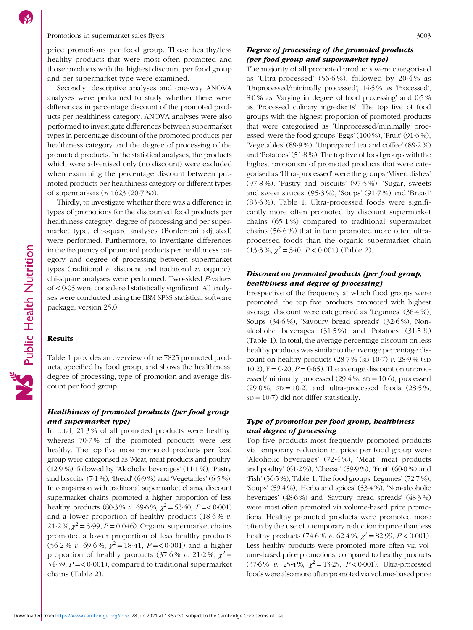price promotions per food group. Those healthy/less healthy products that were most often promoted and those products with the highest discount per food group and per supermarket type were examined.

Secondly, descriptive analyses and one-way ANOVA analyses were performed to study whether there were differences in percentage discount of the promoted products per healthiness category. ANOVA analyses were also performed to investigate differences between supermarket types in percentage discount of the promoted products per healthiness category and the degree of processing of the promoted products. In the statistical analyses, the products which were advertised only (no discount) were excluded when examining the percentage discount between promoted products per healthiness category or different types of supermarkets (n 1623 (20·7 %)).

Thirdly, to investigate whether there was a difference in types of promotions for the discounted food products per healthiness category, degree of processing and per supermarket type, chi-square analyses (Bonferroni adjusted) were performed. Furthermore, to investigate differences in the frequency of promoted products per healthiness category and degree of processing between supermarket types (traditional  $v$ . discount and traditional  $v$ . organic), chi-square analyses were performed. Two-sided P-values of < 0·05 were considered statistically significant. All analyses were conducted using the IBM SPSS statistical software package, version 25.0.

#### Results

Table [1](#page-4-0) provides an overview of the 7825 promoted products, specified by food group, and shows the healthiness, degree of processing, type of promotion and average discount per food group.

# Healthiness of promoted products (per food group and supermarket type)

In total, 21·3 % of all promoted products were healthy, whereas 70·7 % of the promoted products were less healthy. The top five most promoted products per food group were categorised as 'Meat, meat products and poultry' (12·9 %), followed by 'Alcoholic beverages' (11·1 %), 'Pastry and biscuits' (7·1 %), 'Bread' (6·9 %) and 'Vegetables' (6·5 %). In comparison with traditional supermarket chains, discount supermarket chains promoted a higher proportion of less healthy products (80.3% v. 69.6%,  $\chi^2$  = 53.40, P = < 0.001) and a lower proportion of healthy products (18·6 % v.  $21.2\%, \chi^2 = 3.99, P = 0.046$ . Organic supermarket chains promoted a lower proportion of less healthy products  $(56.2\% v. 69.6\%, \chi^2 = 18.41, P = 0.001)$  and a higher proportion of healthy products (37.6% v. 21.2%,  $\chi^2$  =  $34.39$ ,  $P = < 0.001$ ), compared to traditional supermarket chains (Table [2](#page-5-0)).

# Degree of processing of the promoted products (per food group and supermarket type)

The majority of all promoted products were categorised as 'Ultra-processed' (56·6 %), followed by 20·4 % as 'Unprocessed/minimally processed', 14·5 % as 'Processed', 8·0 % as 'Varying in degree of food processing' and 0·5 % as 'Processed culinary ingredients'. The top five of food groups with the highest proportion of promoted products that were categorised as 'Unprocessed/minimally processed' were the food groups 'Eggs' (100 %), 'Fruit' (91·6 %), 'Vegetables' (89·9 %), 'Unprepared tea and coffee' (89·2 %) and 'Potatoes'(51·8 %). The top five of food groups with the highest proportion of promoted products that were categorised as 'Ultra-processed' were the groups 'Mixed dishes' (97·8 %), 'Pastry and biscuits' (97·5 %), 'Sugar, sweets and sweet sauces' (95·3 %), 'Soups' (91·7 %) and 'Bread' (83·6 %), Table [1](#page-4-0). Ultra-processed foods were significantly more often promoted by discount supermarket chains (65·1 %) compared to traditional supermarket chains (56·6 %) that in turn promoted more often ultraprocessed foods than the organic supermarket chain  $(13.3\%, \chi^2 = 340, P < 0.001)$  (Table [2](#page-5-0)).

# Discount on promoted products (per food group, healthiness and degree of processing)

Irrespective of the frequency at which food groups were promoted, the top five products promoted with highest average discount were categorised as 'Legumes' (36·4 %), Soups (34·6 %), 'Savoury bread spreads' (32·6 %), Nonalcoholic beverages (31·5 %) and Potatoes (31·5 %) (Table [1](#page-4-0)). In total, the average percentage discount on less healthy products was similar to the average percentage discount on healthy products  $(28.7\%$  (sp 10.7) v.  $28.9\%$  (sp 10·2),  $F = 0.20$ ,  $P = 0.65$ ). The average discount on unprocessed/minimally processed  $(29.4\%, SD = 10.6)$ , processed  $(29.0\%, SD = 10.2)$  and ultra-processed foods  $(28.5\%,$  $SD = 10.7$ ) did not differ statistically.

# Type of promotion per food group, healthiness and degree of processing

Top five products most frequently promoted products via temporary reduction in price per food group were 'Alcoholic beverages' (72·4 %), 'Meat, meat products and poultry' (61·2 %), 'Cheese' (59·9 %), 'Fruit' (60·0 %) and 'Fish' (56·5 %), Table [1](#page-4-0). The food groups 'Legumes' (72·7 %), 'Soups' (59·4 %), 'Herbs and spices' (53·4 %), 'Non-alcoholic beverages' (48·6 %) and 'Savoury bread spreads' (48·3 %) were most often promoted via volume-based price promotions. Healthy promoted products were promoted more often by the use of a temporary reduction in price than less healthy products (74.6 % v. 62.4 %,  $\chi^2$  = 82.99, P < 0.001). Less healthy products were promoted more often via volume-based price promotions, compared to healthy products  $(37.6\% \text{ } v. \text{ } 25.4\%, \chi^2 = 13.25, \text{ } P < 0.001)$ . Ultra-processed foods were also more often promoted via volume-based price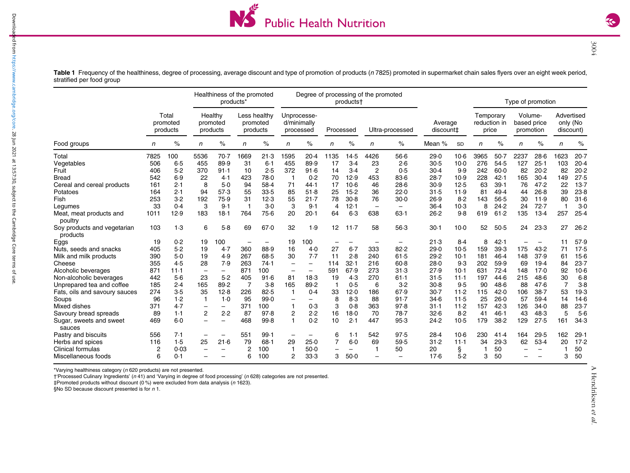

Table 1 Frequency of the healthiness, degree of processing, average discount and type of promotion of products (n 7825) promoted in supermarket chain sales flyers over an eight week period, stratified per food group

|                                         |                               |         | Healthiness of the promoted<br>products <sup>*</sup> |                          |                                      |                   | Degree of processing of the promoted<br>products <sup>+</sup> |                          |           |                          |                          |                          | Type of promotion    |        |                                    |        |                                     |                          |                                     |         |
|-----------------------------------------|-------------------------------|---------|------------------------------------------------------|--------------------------|--------------------------------------|-------------------|---------------------------------------------------------------|--------------------------|-----------|--------------------------|--------------------------|--------------------------|----------------------|--------|------------------------------------|--------|-------------------------------------|--------------------------|-------------------------------------|---------|
|                                         | Total<br>promoted<br>products |         | Healthy<br>promoted<br>products                      |                          | Less healthy<br>promoted<br>products |                   | Unprocesse-<br>d/minimally<br>processed                       |                          | Processed |                          | Ultra-processed          |                          | Average<br>discount‡ |        | Temporary<br>reduction in<br>price |        | Volume-<br>based price<br>promotion |                          | Advertised<br>only (No<br>discount) |         |
| Food groups                             | n                             | $\%$    | n                                                    | %                        | n                                    | $\%$              | n                                                             | %                        | n         | $\%$                     | n                        | $\%$                     | Mean %               | SD     | n                                  | %      | n                                   | %                        | n                                   | $\%$    |
| Total                                   | 7825                          | 100     | 5536                                                 | 70.7                     | 1669                                 | 21.3              | 1595                                                          | 20.4                     | 1135      | 14.5                     | 4426                     | $56-6$                   | 29.0                 | $10-6$ | 3965                               | $50-7$ | 2237                                | 28.6                     | 1623                                | 20.7    |
| Vegetables                              | 506                           | $6 - 5$ | 455                                                  | 89.9                     | 31                                   | 6.1               | 455                                                           | 89.9                     | 17        | $3-4$                    | 23                       | 2.6                      | 30.5                 | $10-0$ | 276                                | 54.5   | 127                                 | 25.1                     | 103                                 | 20.4    |
| Fruit                                   | 406                           | 5.2     | 370                                                  | 91.1                     | 10                                   | 2.5               | 372                                                           | 91.6                     | 14        | 3.4                      | $\overline{c}$           | 0.5                      | 30.4                 | 9.9    | 242                                | 60.0   | 82                                  | 20.2                     | 82                                  | 20.2    |
| <b>Bread</b>                            | 542                           | 6.9     | 22                                                   | 4.1                      | 423                                  | 78.0              | -1                                                            | 0.2                      | 70        | 12.9                     | 453                      | 83.6                     | 28.7                 | 10.9   | 228                                | 42.1   | 165                                 | 30.4                     | 149                                 | 27.5    |
| Cereal and cereal products              | 161                           | 2.1     | 8                                                    | $5-0$                    | 94                                   | 58.4              | 71                                                            | 44.1                     | 17        | $10-6$                   | 46                       | 28.6                     | 30.9                 | 12.5   | 63                                 | 39.1   | 76                                  | 47.2                     | 22                                  | 13.7    |
| Potatoes                                | 164                           | 2.1     | 94                                                   | 57.3                     | 55                                   | 33.5              | 85                                                            | 51.8                     | 25        | $15-2$                   | 36                       | 22.0                     | 31.5                 | 11.9   | 81                                 | 49.4   | 44                                  | 26.8                     | 39                                  | 23.8    |
| Fish                                    | 253                           | $3-2$   | 192                                                  | 75.9                     | 31                                   | 12.3              | 55                                                            | 21.7                     | 78        | 30.8                     | 76                       | 30.0                     | 26.9                 | 8.2    | 143                                | 56.5   | 30                                  | 11.9                     | 80                                  | 31.6    |
| Legumes                                 | 33                            | 0.4     | З                                                    | 9.1                      | -1                                   | $3-0$             | 3                                                             | 9.1                      | 4         | 12.1                     | $\overline{\phantom{0}}$ | $\overline{\phantom{0}}$ | 36.4                 | $10-3$ | 8                                  | 24.2   | 24                                  | 72.7                     | 1                                   | $3-0$   |
| Meat, meat products and<br>poultry      | 1011                          | 12.9    | 183                                                  | 18.1                     | 764                                  | 75.6              | 20                                                            | 20.1                     | 64        | 6.3                      | 638                      | $63-1$                   | 26.2                 | 9.8    | 619                                | 61.2   | 135                                 | 13.4                     | 257                                 | 25.4    |
| Soy products and vegetarian<br>products | 103                           | 1.3     | 6                                                    | 5.8                      | 69                                   | 67.0              | 32                                                            | 1.9                      | 12        | $11-7$                   | 58                       | 56.3                     | 30.1                 | $10-0$ | 52                                 | 50.5   | 24                                  | 23.3                     | 27                                  | 26.2    |
| Eggs                                    | 19                            | 0.2     | 19                                                   | 100                      | $\qquad \qquad -$                    | $\qquad \qquad -$ | 19                                                            | 100                      |           |                          |                          | $\qquad \qquad$          | 21.3                 | 8.4    | 8                                  | 42.1   |                                     |                          | 11                                  | 57.9    |
| Nuts, seeds and snacks                  | 405                           | 5.2     | 19                                                   | 4.7                      | 360                                  | 88.9              | 16                                                            | 4.0                      | 27        | $6 - 7$                  | 333                      | 82.2                     | 29.0                 | $10-5$ | 159                                | 39.3   | 175                                 | 43.2                     | 71                                  | 17.5    |
| Milk and milk products                  | 390                           | $5-0$   | 19                                                   | 4.9                      | 267                                  | 68.5              | 30                                                            | 7.7                      | 11        | 2.8                      | 240                      | 61.5                     | 29.2                 | $10-1$ | 181                                | 46.4   | 148                                 | 37.9                     | 61                                  | $15-6$  |
| Cheese                                  | 355                           | 4.5     | 28                                                   | 7.9                      | 263                                  | 74.1              |                                                               | -                        | 114       | 32.1                     | 216                      | $60 - 8$                 | 28.0                 | 9.3    | 202                                | 59.9   | 69                                  | 19.4                     | 84                                  | 23.7    |
| Alcoholic beverages                     | 871                           | 11.1    |                                                      | $\overline{\phantom{0}}$ | 871                                  | 100               |                                                               | $\overline{\phantom{0}}$ | 591       | 67.9                     | 273                      | 31.3                     | 27.9                 | $10-1$ | 631                                | 72.4   | 148                                 | 17.0                     | 92                                  | $10-6$  |
| Non-alcoholic beverages                 | 442                           | $5-6$   | 23                                                   | 5.2                      | 405                                  | 91.6              | 81                                                            | 18.3                     | 19        | 4.3                      | 270                      | 61.1                     | 31.5                 | $11-1$ | 197                                | 44.6   | 215                                 | 48.6                     | 30                                  | $6 - 8$ |
| Unprepared tea and coffee               | 185                           | 2.4     | 165                                                  | 89.2                     | $\overline{7}$                       | $3-8$             | 165                                                           | 89.2                     |           | 0.5                      | 6                        | 3.2                      | 30.8                 | 9.5    | 90                                 | 48.6   | 88                                  | 47.6                     | $\overline{7}$                      | $3-8$   |
| Fats, oils and savoury sauces           | 274                           | 3.5     | 35                                                   | 12.8                     | 226                                  | 82.5              |                                                               | 0.4                      | 33        | 12.0                     | 186                      | 67.9                     | $30-7$               | 11.2   | 115                                | 42.0   | 106                                 | 38.7                     | 53                                  | 19.3    |
| Soups                                   | 96                            | 1.2     | -1                                                   | 1.0                      | 95                                   | 99.0              |                                                               | -                        | 8         | 8.3                      | 88                       | 91.7                     | 34.6                 | 11.5   | 25                                 | 26.0   | 57                                  | 59.4                     | 14                                  | 14.6    |
| Mixed dishes                            | 371                           | 4.7     | -                                                    | $\overline{\phantom{0}}$ | 371                                  | 100               | -1                                                            | 0.3                      | 3         | 0.8                      | 363                      | 97.8                     | $31-1$               | 11.2   | 157                                | 42.3   | 126                                 | 34.0                     | 88                                  | 23.7    |
| Savoury bread spreads                   | 89                            | 1.1     | 2                                                    | 2.2                      | 87                                   | 97.8              | $\overline{c}$                                                | 2.2                      | 16        | $18-0$                   | 70                       | 78.7                     | 32.6                 | 8.2    | 41                                 | 46.1   | 43                                  | 48.3                     | 5                                   | 5.6     |
| Sugar, sweets and sweet<br>sauces       | 469                           | $6 - 0$ |                                                      |                          | 468                                  | 99.8              |                                                               | 0.2                      | 10        | 2.1                      | 447                      | 95.3                     | 24.2                 | $10-5$ | 179                                | 38.2   | 129                                 | 27.5                     | 161                                 | 34.3    |
| Pastry and biscuits                     | 556                           | 7.1     | -                                                    | -                        | 551                                  | 99.1              | $\overline{\phantom{0}}$                                      | $\overline{\phantom{0}}$ | 6         | 1.1                      | 542                      | 97.5                     | 28.4                 | $10-6$ | 230                                | 41.4   | 164                                 | 29.5                     | 162                                 | 29.1    |
| Herbs and spices                        | 116                           | 1.5     | 25                                                   | 21.6                     | 79                                   | $68 - 1$          | 29                                                            | 25.0                     |           | $6-0$                    | 69                       | 59.5                     | 31.2                 | 11.1   | 34                                 | 29.3   | 62                                  | 53.4                     | 20                                  | 17.2    |
| Clinical formulas                       | 2                             | 0.03    | -                                                    | $\overline{\phantom{0}}$ | 2                                    | 100               | 1                                                             | 50.0                     |           | $\overline{\phantom{0}}$ |                          | 50                       | 20                   | Ş.     |                                    | 50     |                                     | $\overline{\phantom{0}}$ |                                     | 50      |
| Miscellaneous foods                     | 6                             | 0.1     |                                                      |                          | 6                                    | 100               | $\overline{2}$                                                | 33.3                     | 3         | 50.0                     |                          |                          | 17.6                 | 5.2    | 3                                  | 50     |                                     |                          | 3                                   | 50      |

\*Varying healthiness category (<sup>n</sup> 620 products) are not presented.

†'Processed Culinary Ingredients' (<sup>n</sup> 41) and 'Varying in degree of food processing' (<sup>n</sup> 628) categories are not presented.

‡Promoted products without discount (0 %) were excluded from data analysis (<sup>n</sup> 1623).

§No SD because discount presented is for  $n 1$ .

Downloaded from [https://www.cambridge.org/core.](https://www.cambridge.org/core) 28 Jun 2021 at 13:57:30, subject to the Cambridge Core terms of use.

<span id="page-4-0"></span>Downloaded from https://www.cambridge.org/core. 28 Jun 2021 at 13:57:30, subject to the Cambridge Core terms of use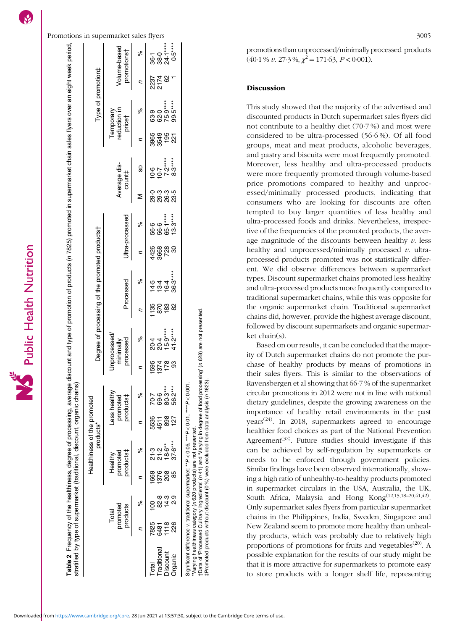<span id="page-5-0"></span>Promotions in supermarket sales flyers 3005 Frequency of the healthiness, degree of processing, average discount and type of promotion of products (n 7825) promoted in supermarket chain sales flyers over an eight week period, **Table 2** Frequency of the healthiness, degree of processing, average discount and type of promotion of products (n 7825) promoted in supermarket chain sales flyers over an eight week period<br>stratified by type of supermark /olume-based Volume-based promotions† promotions†  $\delta$ Type of promotion‡ products\* Degree of processing of the promoted products† Type of promotion‡ reduction in reduction in  $\delta$ Temporary Temporary price† Average dis-Average discount‡ Σ Ultra-processed processed Processed Ultra-processed  $\delta$ of the promoted products Processed  $\delta$ Degree of processing Jnprocessed/ Unprocessed/  $\delta$ processed minimally stratified by type of supermarket (traditional, discount, organic chains) Less healthy Less healthy  $\delta$ products‡ promoted Healthiness of the promoted<br>products\* Healthiness of the promoted  $\delta$ promoted products‡ Healthy  $\delta$ promoted products Total

% n % n % n % n % n % M SD n % n %

 $\overline{c}$ 

 $\overline{a}$ 

 $\overline{a}$ 

 $\overline{a}$ 

Total 7825 100 1669 21·3 5536 70·7 1595 20·4 1135 14·5 4426 56·6 29·0 10·6 3965 63·9 2237 36·1 Traditional 6481 82·8 1376 21·2 1511 89·6 81·4 20·4 13·4 20·4 13·4 36·6 86·6 20·3 10·7 2174 89·0 217 Discount 1118 14·3 208 18·6\*\* 178 15·9\*\*\*\* 183 16·4 16·4 728 65·1\*\*\*\* 26·3 7·2\*\*\*\* 195 75·9\*\*\* 62 24·1\*\*\*\*

1595<br>1374

5536<br>4511

1669

7825<br>6481

**Traditional** Discount

Total

 $36.1$ <br> $38.0$ <br> $24.1***$  $0.5***$ 

2237<br>2174<br>62

63.9<br>62.9\*\*\*\*<br>75.9\*\*\*\*<br>99.5\*

10.6<br>10.7<br>7.2\*\*\*\*\*<br>8.3\*\*\*\*\*

ດ ຜູ້ ຜູ້ ຜູ້<br>ດັ່ງ ຜູ້ ຜູ້<br>ດັ່ງ ທີ່ ທີ່

56.6<br>56.6<br>65.1\*\*\*\*<br>13.3\*\*\*\*

4426<br>3668 728<br>30

195<br>221 3965<br>3549

 $\overline{c}$ 

 $\mathbf{c}$ 

SD

Organic 226 2·9 85 37·6\*\*\* 127 56·2\*\*\* 93 41·2\*\*\*\* 82 36·3\*\*\*\* 30 13·3\*\*\*\* 23·5 8·3\*\*\*\* 221 99·5\*\*\*\* 1 0·5\*\*\*\*  $18888$ "Varying healthiness category (n 620 products) are not presented.<br>†Data of 'Processed Culinary Ingredients' (n 41) and 'Varying in degree of food processing' (n 628) are not presented. †Data of 'Processed Culinary Ingredients' (n 41) and 'Varying in degree of food processing' (n 628) are not presented.  $20.4$ <br>  $26.4$ <br>  $15.9$ <br>  $15.2$ <br>  $41.2$  $178$ Significant difference v. traditional supermarket: \*\*P < 0·05, \*\*\*P < 0·01, \*\*\*\*P < 0·001. 70.7<br>69.5\*\*\*<br>69.8\*\*<br>56.2\* Significant difference v. traditional supermarket: \*\*P<0.05, \*\*\*P<0.01, \*\*\*\*P<0.001 898 \*Varying healthiness category (n 620 products) are not presented. 21.3<br>21.2 *6*<br>18.5<br>37.6\* 208<br>85  $58449$ <br> $-28449$ 1118<br>226 Organic

‡Promoted products without discount (0 %) were excluded from data analysis (n 1623).

tPromoted products without discount (0 %) were excluded from data analysis (n 1623).

promotions than unprocessed/minimally processed products  $(40.1\% v. 27.3\%, \chi^2 = 171.63, P < 0.001).$ 

# Discussion

This study showed that the majority of the advertised and discounted products in Dutch supermarket sales flyers did not contribute to a healthy diet (70·7 %) and most were considered to be ultra-processed (56·6 %). Of all food groups, meat and meat products, alcoholic beverages, and pastry and biscuits were most frequently promoted. Moreover, less healthy and ultra-processed products were more frequently promoted through volume-based price promotions compared to healthy and unprocessed/minimally processed products, indicating that consumers who are looking for discounts are often tempted to buy larger quantities of less healthy and ultra-processed foods and drinks. Nevertheless, irrespective of the frequencies of the promoted products, the average magnitude of the discounts between healthy  $v$ . less healthy and unprocessed/minimally processed  $v$ . ultraprocessed products promoted was not statistically different. We did observe differences between supermarket types. Discount supermarket chains promoted less healthy and ultra-processed products more frequently compared to traditional supermarket chains, while this was opposite for the organic supermarket chain. Traditional supermarket chains did, however, provide the highest average discount, followed by discount supermarkets and organic supermarket chain(s).

Based on our results, it can be concluded that the majority of Dutch supermarket chains do not promote the purchase of healthy products by means of promotions in their sales flyers. This is similar to the observations of Ravensbergen et al showing that 66·7 % of the supermarket circular promotions in 2012 were not in line with national dietary guidelines, despite the growing awareness on the importance of healthy retail environments in the past years<sup> $(24)$ </sup>. In 2018, supermarkets agreed to encourage healthier food choices as part of the National Prevention Agreement<sup> $(32)$  $(32)$ </sup>. Future studies should investigate if this can be achieved by self-regulation by supermarkets or needs to be enforced through government policies. Similar findings have been observed internationally, showing a high ratio of unhealthy-to-healthy products promoted in supermarket circulars in the USA, Australia, the UK, South Africa, Malaysia and Hong Kong[\(12,15](#page-7-0),[18](#page-7-0)–[20,](#page-7-0)[41,42](#page-8-0)). Only supermarket sales flyers from particular supermarket chains in the Philippines, India, Sweden, Singapore and New Zealand seem to promote more healthy than unhealthy products, which was probably due to relatively high proportions of promotions for fruits and vegetables<sup>[\(20\)](#page-7-0)</sup>. A possible explanation for the results of our study might be that it is more attractive for supermarkets to promote easy to store products with a longer shelf life, representing

n

 $\overline{c}$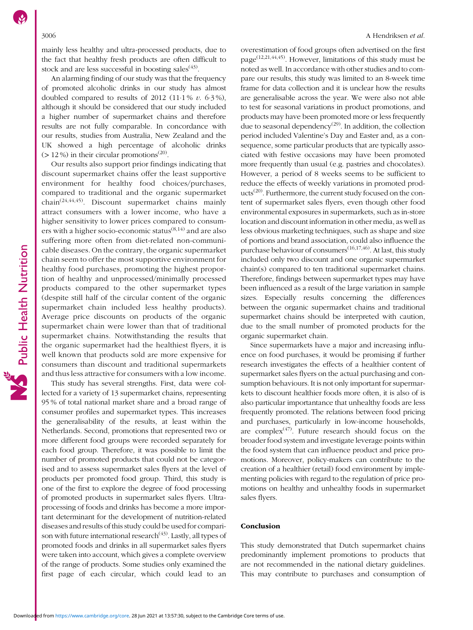mainly less healthy and ultra-processed products, due to the fact that healthy fresh products are often difficult to stock and are less successful in boosting sales<sup> $(43)$  $(43)$ </sup>.

An alarming finding of our study was that the frequency of promoted alcoholic drinks in our study has almost doubled compared to results of 2012 (11.1%  $v$ . 6.3%), although it should be considered that our study included a higher number of supermarket chains and therefore results are not fully comparable. In concordance with our results, studies from Australia, New Zealand and the UK showed a high percentage of alcoholic drinks ( $> 12\%$ ) in their circular promotions<sup>[\(20\)](#page-7-0)</sup>.

Our results also support prior findings indicating that discount supermarket chains offer the least supportive environment for healthy food choices/purchases, compared to traditional and the organic supermarket chain([24,](#page-7-0)[44,45](#page-8-0)). Discount supermarket chains mainly attract consumers with a lower income, who have a higher sensitivity to lower prices compared to consumers with a higher socio-economic status $(8,14)$  $(8,14)$  and are also suffering more often from diet-related non-communicable diseases. On the contrary, the organic supermarket chain seem to offer the most supportive environment for healthy food purchases, promoting the highest proportion of healthy and unprocessed/minimally processed products compared to the other supermarket types (despite still half of the circular content of the organic supermarket chain included less healthy products). Average price discounts on products of the organic supermarket chain were lower than that of traditional supermarket chains. Notwithstanding the results that the organic supermarket had the healthiest flyers, it is well known that products sold are more expensive for consumers than discount and traditional supermarkets and thus less attractive for consumers with a low income.

This study has several strengths. First, data were collected for a variety of 13 supermarket chains, representing 95 % of total national market share and a broad range of consumer profiles and supermarket types. This increases the generalisability of the results, at least within the Netherlands. Second, promotions that represented two or more different food groups were recorded separately for each food group. Therefore, it was possible to limit the number of promoted products that could not be categorised and to assess supermarket sales flyers at the level of products per promoted food group. Third, this study is one of the first to explore the degree of food processing of promoted products in supermarket sales flyers. Ultraprocessing of foods and drinks has become a more important determinant for the development of nutrition-related diseases and results of this study could be used for comparison with future international research $(43)$ . Lastly, all types of promoted foods and drinks in all supermarket sales flyers were taken into account, which gives a complete overview of the range of products. Some studies only examined the first page of each circular, which could lead to an

overestimation of food groups often advertised on the first page[\(12,21](#page-7-0),[44,45\)](#page-8-0). However, limitations of this study must be noted as well. In accordance with other studies and to compare our results, this study was limited to an 8-week time frame for data collection and it is unclear how the results are generalisable across the year. We were also not able to test for seasonal variations in product promotions, and products may have been promoted more or less frequently due to seasonal dependency<sup>([29](#page-8-0))</sup>. In addition, the collection period included Valentine's Day and Easter and, as a consequence, some particular products that are typically associated with festive occasions may have been promoted more frequently than usual (e.g. pastries and chocolates). However, a period of 8 weeks seems to be sufficient to reduce the effects of weekly variations in promoted prod-ucts<sup>([20](#page-7-0))</sup>. Furthermore, the current study focused on the content of supermarket sales flyers, even though other food environmental exposures in supermarkets, such as in-store location and discount information in other media, as well as less obvious marketing techniques, such as shape and size of portions and brand association, could also influence the purchase behaviour of consumers<sup>[\(16,17,](#page-7-0)[46](#page-8-0))</sup>. At last, this study included only two discount and one organic supermarket chain(s) compared to ten traditional supermarket chains. Therefore, findings between supermarket types may have been influenced as a result of the large variation in sample sizes. Especially results concerning the differences between the organic supermarket chains and traditional supermarket chains should be interpreted with caution, due to the small number of promoted products for the organic supermarket chain.

Since supermarkets have a major and increasing influence on food purchases, it would be promising if further research investigates the effects of a healthier content of supermarket sales flyers on the actual purchasing and consumption behaviours. It is not only important for supermarkets to discount healthier foods more often, it is also of is also particular importantance that unhealthy foods are less frequently promoted. The relations between food pricing and purchases, particularly in low-income households, are complex $(47)$  $(47)$  $(47)$ . Future research should focus on the broader food system and investigate leverage points within the food system that can influence product and price promotions. Moreover, policy-makers can contribute to the creation of a healthier (retail) food environment by implementing policies with regard to the regulation of price promotions on healthy and unhealthy foods in supermarket sales flyers.

#### Conclusion

This study demonstrated that Dutch supermarket chains predominantly implement promotions to products that are not recommended in the national dietary guidelines. This may contribute to purchases and consumption of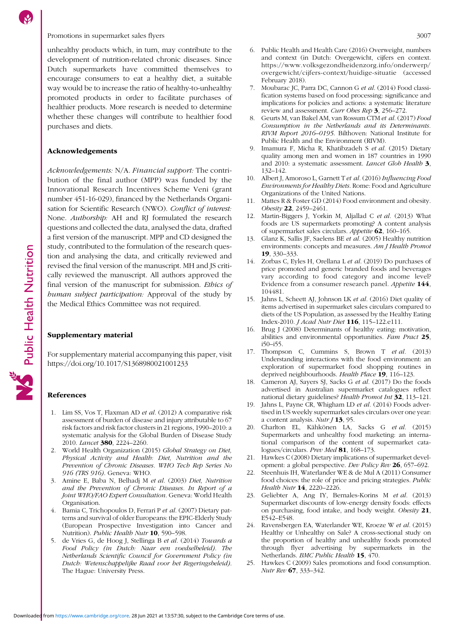<span id="page-7-0"></span>unhealthy products which, in turn, may contribute to the development of nutrition-related chronic diseases. Since Dutch supermarkets have committed themselves to encourage consumers to eat a healthy diet, a suitable way would be to increase the ratio of healthy-to-unhealthy promoted products in order to facilitate purchases of healthier products. More research is needed to determine whether these changes will contribute to healthier food purchases and diets.

### Acknowledgements

Acknowledgements: N/A. Financial support: The contribution of the final author (MPP) was funded by the Innovational Research Incentives Scheme Veni (grant number 451-16-029), financed by the Netherlands Organisation for Scientific Research (NWO). Conflict of interest: None. Authorship: AH and RJ formulated the research questions and collected the data, analysed the data, drafted a first version of the manuscript. MPP and CD designed the study, contributed to the formulation of the research question and analysing the data, and critically reviewed and revised the final version of the manuscript. MH and JS critically reviewed the manuscript. All authors approved the final version of the manuscript for submission. Ethics of human subject participation: Approval of the study by the Medical Ethics Committee was not required.

#### Supplementary material

For supplementary material accompanying this paper, visit <https://doi.org/10.1017/S1368980021001233>

#### References

- 1. Lim SS, Vos T, Flaxman AD et al. (2012) A comparative risk assessment of burden of disease and injury attributable to 67 risk factors and risk factor clusters in 21 regions, 1990–2010: a systematic analysis for the Global Burden of Disease Study 2010. Lancet 380, 2224–2260.
- 2. World Health Organization (2015) Global Strategy on Diet, Physical Activity and Health: Diet, Nutrition and the Prevention of Chronic Diseases. WHO Tech Rep Series No 916 (TRS 916). Geneva: WHO.
- 3. Amine E, Baba N, Belhadj M et al. (2003) Diet, Nutrition and the Prevention of Chronic Diseases. In Report of a Joint WHO/FAO Expert Consultation. Geneva: World Health Organisation.
- 4. Bamia C, Trichopoulos D, Ferrari P et al. (2007) Dietary patterns and survival of older Europeans: the EPIC-Elderly Study (European Prospective Investigation into Cancer and Nutrition). Public Health Nutr 10, 590-598.
- 5. de Vries G, de Hoog J, Stellinga B et al. (2014) Towards a Food Policy (in Dutch: Naar een voedselbeleid). The Netherlands Scientific Council for Government Policy (in Dutch: Wetenschappelijke Raad voor het Regeringsbeleid). The Hague: University Press.
- 6. Public Health and Health Care (2016) Overweight, numbers and context (in Dutch: Overgewicht, cijfers en context. [https://www.volksgezondheidenzorg.info/onderwerp/](https://www.volksgezondheidenzorg.info/onderwerp/overgewicht/cijfers-context/huidige-situatie) [overgewicht/cijfers-context/huidige-situatie](https://www.volksgezondheidenzorg.info/onderwerp/overgewicht/cijfers-context/huidige-situatie) (accessed February 2018).
- Moubarac JC, Parra DC, Cannon G et al. (2014) Food classification systems based on food processing: significance and implications for policies and actions: a systematic literature review and assessment. Curr Obes Rep 3, 256-272.
- 8. Geurts M, van Bakel AM, van Rossum CTM et al. (2017) Food Consumption in the Netherlands and its Determinants. RIVM Report 2016–0195. Bilthoven: National Institute for Public Health and the Environment (RIVM).
- 9. Imamura F, Micha R, Khatibzadeh S et al. (2015) Dietary quality among men and women in 187 countries in 1990 and 2010: a systematic assessment. Lancet Glob Health 3, 132–142.
- 10. Albert J, Amoroso L, Garnett T et al. (2016) Influencing Food Environments for Healthy Diets. Rome: Food and Agriculture Organizations of the United Nations.
- 11. Mattes R & Foster GD (2014) Food environment and obesity. Obesity 22, 2459–2461.
- Martin-Biggers J, Yorkin M, Aljallad C et al. (2013) What foods are US supermarkets promoting? A content analysis of supermarket sales circulars. Appetite 62, 160–165.
- 13. Glanz K, Sallis JF, Saelens BE et al. (2005) Healthy nutrition environments: concepts and measures. Am J Health Promot 19, 330–333.
- 14. Zorbas C, Eyles H, Orellana L et al. (2019) Do purchases of price promoted and generic branded foods and beverages vary according to food category and income level? Evidence from a consumer research panel. Appetite 144, 104481.
- 15. Jahns L, Scheett AJ, Johnson LK et al. (2016) Diet quality of items advertised in supermarket sales circulars compared to diets of the US Population, as assessed by the Healthy Eating Index-2010. J Acad Nutr Diet 116, 115–122.e111.
- 16. Brug J (2008) Determinants of healthy eating: motivation, abilities and environmental opportunities. Fam Pract 25, i50–i55.
- 17. Thompson C, Cummins S, Brown T et al. (2013) Understanding interactions with the food environment: an exploration of supermarket food shopping routines in deprived neighbourhoods. Health Place 19, 116-123.
- 18. Cameron AJ, Sayers SJ, Sacks G et al. (2017) Do the foods advertised in Australian supermarket catalogues reflect national dietary guidelines? Health Promot Int 32, 113-121.
- 19. Jahns L, Payne CR, Whigham LD et al. (2014) Foods advertised in US weekly supermarket sales circulars over one year: a content analysis. Nutr  $J$  13, 95.
- 20. Charlton EL, Kähkönen LA, Sacks G et al. (2015) Supermarkets and unhealthy food marketing: an international comparison of the content of supermarket catalogues/circulars. Prev Med 81, 168-173.
- 21. Hawkes C (2008) Dietary implications of supermarket development: a global perspective. Dev Policy Rev 26, 657–692.
- Steenhuis IH, Waterlander WE & de Mul A (2011) Consumer food choices: the role of price and pricing strategies. Public Health Nutr 14, 2220-2226.
- 23. Geliebter A, Ang IY, Bernales-Korins M et al. (2013) Supermarket discounts of low-energy density foods: effects on purchasing, food intake, and body weight. Obesity 21, E542–E548.
- 24. Ravensbergen EA, Waterlander WE, Kroeze W et al. (2015) Healthy or Unhealthy on Sale? A cross-sectional study on the proportion of healthy and unhealthy foods promoted through flyer advertising by supermarkets in the Netherlands. BMC Public Health 15, 470.
- 25. Hawkes C (2009) Sales promotions and food consumption. Nutr Rev 67, 333–342.